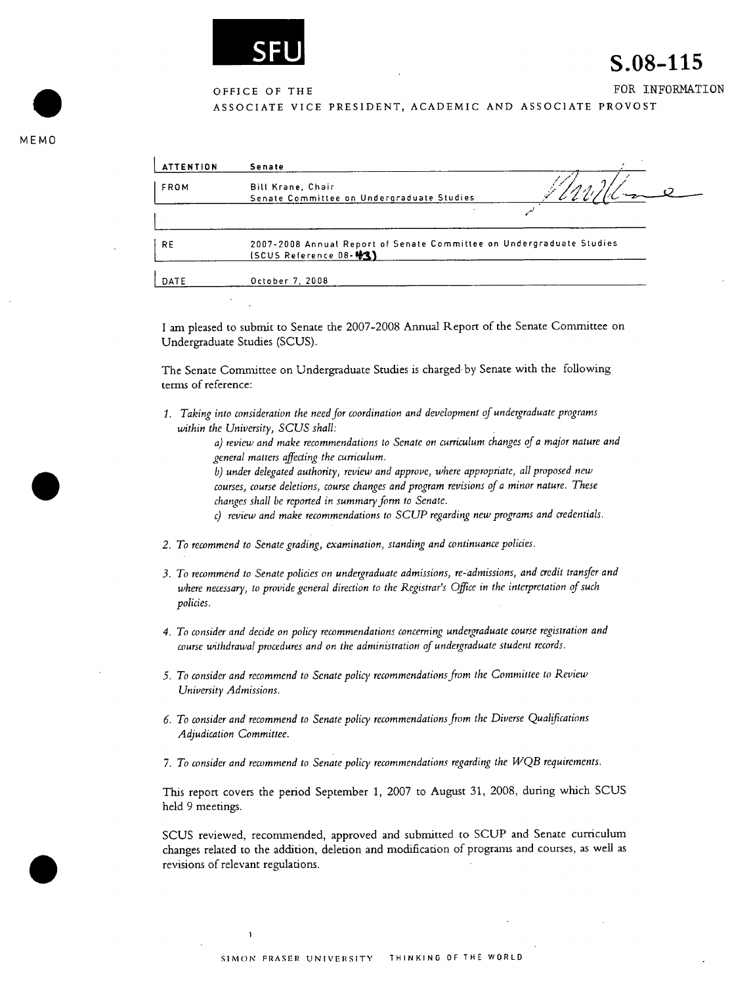

## S.08-115

OFFICE OF THE **FOR INFORMATION** 

ASSOCIATE VICE PRESIDENT, ACADEMIC AND ASSOCIATE PROVOST

. MEMO

| <b>ATTENTION</b> | Senate                                                                                                |  |
|------------------|-------------------------------------------------------------------------------------------------------|--|
| FROM             | <b>Bill Krane, Chair</b><br>Senate Committee on Undergraduate Studies                                 |  |
|                  |                                                                                                       |  |
| <b>RE</b>        | 2007-2008 Annual Report of Senate Committee on Undergraduate Studies<br><b>(SCUS Reference 08-43)</b> |  |
| DATE             | October 7, 2008                                                                                       |  |

I am pleased to submit to Senate the 2007-2008 Annual Report of the Senate Committee on Undergraduate Studies (SCUS).

The Senate Committee on Undergraduate Studies is charged by Senate with the following terms of reference:

*1. Taking into consideration the need for coordination and development of undergraduate programs within the University, SCUS shall:* 

> *a) review and make recommendations to Senate on curriculum changes of a major nature and general matters affecting the curriculum.*

*• b) under delegated authority, review and approve, where appropriate, all proposed new courses, course deletions, course changes and program revisions of a minor nature. These changes shall be reported in summary form to Senate.* 

- *C) review and make recommendations to SCUP regarding new programs and credentials.*
- *2. To recommend to Senate grading, examination, standing and continuance policies.*
- *3. To recommend to Senate policies on undergraduate admissions, re-admissions, and credit transfer and where necessary, to provide general direction to the Registrar's Office in the interpretation of such policies.*
- *4. To consider and decide on policy recommendations concerning undergraduate course registration and course withdrawal procedures and on the administration of undergraduate student records.*
- *5. To consider and recommend to Senate policy recommendations from the Committee to Review University Admissions.*
- *6. To consider and recommend to Senate policy recommendations from the Diverse Qualifications Adjudication Committee.*
- *7. To consider and recommend to Senate policy recommendations regarding the J'VQB requirements.*

This report covers the period September 1, 2007 to August 31, 2008, during which SCUS held 9 meetings.

SCUS reviewed, recommended, approved and submitted to SCUP and Senate curriculum changes related to the addition, deletion and modification of programs and courses, as well as revisions of relevant regulations.

 $\ddot{\phantom{a}}$